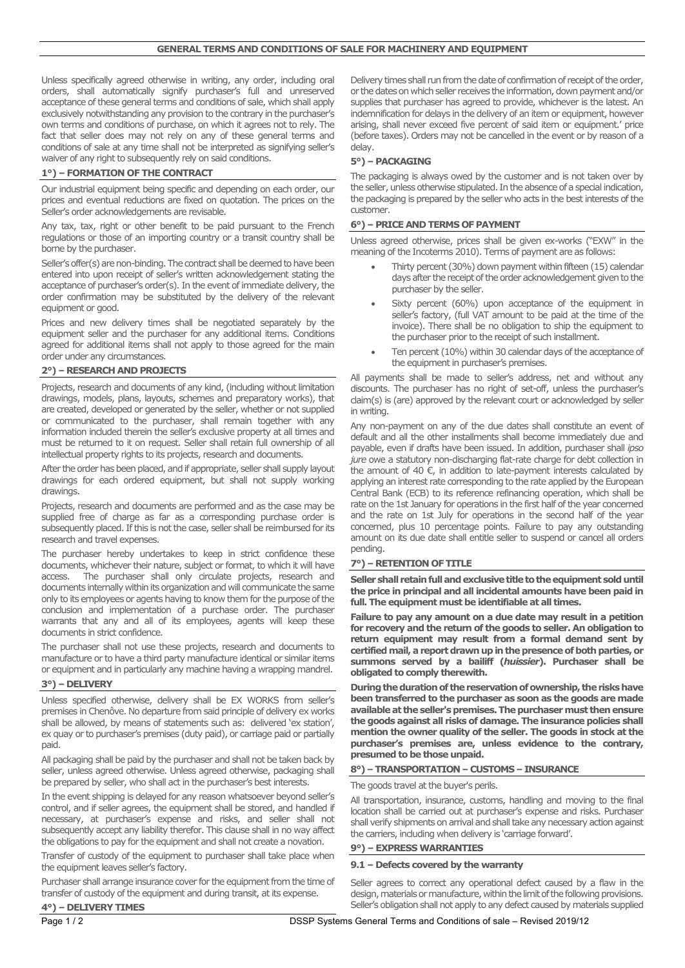Unless specifically agreed otherwise in writing, any order, including oral orders, shall automatically signify purchaser's full and unreserved acceptance of these general terms and conditions of sale, which shall apply exclusively notwithstanding any provision to the contrary in the purchaser's own terms and conditions of purchase, on which it agrees not to rely. The fact that seller does may not rely on any of these general terms and conditions of sale at any time shall not be interpreted as signifying seller's waiver of any right to subsequently rely on said conditions.

## **1°) – FORMATION OF THE CONTRACT**

Our industrial equipment being specific and depending on each order, our prices and eventual reductions are fixed on quotation. The prices on the Seller's order acknowledgements are revisable.

Any tax, tax, right or other benefit to be paid pursuant to the French regulations or those of an importing country or a transit country shall be borne by the purchaser.

Seller's offer(s) are non-binding. The contract shall be deemed to have been entered into upon receipt of seller's written acknowledgement stating the acceptance of purchaser's order(s). In the event of immediate delivery, the order confirmation may be substituted by the delivery of the relevant equipment or good.

Prices and new delivery times shall be negotiated separately by the equipment seller and the purchaser for any additional items. Conditions agreed for additional items shall not apply to those agreed for the main order under any circumstances.

## **2°) – RESEARCH AND PROJECTS**

Projects, research and documents of any kind, (including without limitation drawings, models, plans, layouts, schemes and preparatory works), that are created, developed or generated by the seller, whether or not supplied or communicated to the purchaser, shall remain together with any information included therein the seller's exclusive property at all times and must be returned to it on request. Seller shall retain full ownership of all intellectual property rights to its projects, research and documents.

After the order has been placed, and if appropriate, seller shall supply layout drawings for each ordered equipment, but shall not supply working drawings.

Projects, research and documents are performed and as the case may be supplied free of charge as far as a corresponding purchase order is subsequently placed. If this is not the case, seller shall be reimbursed for its research and travel expenses.

The purchaser hereby undertakes to keep in strict confidence these documents, whichever their nature, subject or format, to which it will have access. The purchaser shall only circulate projects, research and documents internally within its organizationand will communicate the same only to its employees or agents having to know them for the purpose of the conclusion and implementation of a purchase order. The purchaser warrants that any and all of its employees, agents will keep these documents in strict confidence.

The purchaser shall not use these projects, research and documents to manufacture or to have a third party manufacture identical or similar items or equipment and in particularly any machine having a wrapping mandrel.

## **3°) – DELIVERY**

Unless specified otherwise, delivery shall be EX WORKS from seller's premises in Chenôve. No departure from said principle of delivery ex works shall be allowed, by means of statements such as: delivered 'ex station', ex quay or to purchaser's premises (duty paid), or carriage paid or partially paid.

All packaging shall be paid by the purchaser and shall not be taken back by seller, unless agreed otherwise. Unless agreed otherwise, packaging shall be prepared by seller, who shall act in the purchaser's best interests.

In the event shipping is delayed for any reason whatsoever beyond seller's control, and if seller agrees, the equipment shall be stored, and handled if necessary, at purchaser's expense and risks, and seller shall not subsequently accept any liability therefor. This clause shall in no way affect the obligations to pay for the equipment and shall not create a novation.

Transfer of custody of the equipment to purchaser shall take place when the equipment leaves seller's factory.

Purchaser shall arrange insurance cover for the equipment from the time of transfer of custody of the equipment and during transit, at its expense.

Delivery times shall run from the date of confirmation of receipt of the order, or the dates on which seller receives the information, down payment and/or supplies that purchaser has agreed to provide, whichever is the latest. An indemnification for delays in the delivery of an item or equipment, however arising, shall never exceed five percent of said item or equipment.' price (before taxes). Orders may not be cancelled in the event or by reason of a delay.

# **5°) – PACKAGING**

The packaging is always owed by the customer and is not taken over by the seller, unless otherwise stipulated. In the absence of a special indication, the packaging is prepared by the seller who acts in the best interests of the customer.

# **6°) – PRICE AND TERMS OF PAYMENT**

Unless agreed otherwise, prices shall be given ex-works ("EXW" in the meaning of the Incoterms 2010). Terms of payment are as follows:

- Thirty percent (30%) down payment within fifteen (15) calendar days after the receipt of the order acknowledgement given to the purchaser by the seller.
- Sixty percent (60%) upon acceptance of the equipment in seller's factory, (full VAT amount to be paid at the time of the invoice). There shall be no obligation to ship the equipment to the purchaser prior to the receipt of such installment.
- Ten percent (10%) within 30 calendar days of the acceptance of the equipment in purchaser's premises.

All payments shall be made to seller's address, net and without any discounts. The purchaser has no right of set-off, unless the purchaser's claim(s) is (are) approved by the relevant court or acknowledged by seller in writing.

Any non-payment on any of the due dates shall constitute an event of default and all the other installments shall become immediately due and payable, even if drafts have been issued. In addition, purchaser shall *ipso jure* owe a statutory non-discharging flat-rate charge for debt collection in the amount of 40  $\epsilon$ , in addition to late-payment interests calculated by applying an interest rate corresponding to the rate applied by the European Central Bank (ECB) to its reference refinancing operation, which shall be rate on the 1st January for operations in the first half of the year concerned and the rate on 1st July for operations in the second half of the year concerned, plus 10 percentage points. Failure to pay any outstanding amount on its due date shall entitle seller to suspend or cancel all orders pending.

## **7°) – RETENTION OF TITLE**

**Seller shall retain full and exclusive title to the equipment sold until the price in principal and all incidental amounts have been paid in full. The equipment must be identifiable at all times.**

**Failure to pay any amount on a due date may result in a petition for recovery and the return of the goods to seller. An obligation to return equipment may result from a formal demand sent by certified mail, a report drawn up in the presence of both parties, or summons served by a bailiff (***huissier***). Purchaser shall be obligated to comply therewith.**

**During the duration of the reservation of ownership, the risks have been transferred to the purchaser as soon as the goods are made available at the seller's premises. The purchaser must then ensure the goods against all risks of damage. The insurance policies shall mention the owner quality of the seller. The goods in stock at the purchaser's premises are, unless evidence to the contrary, presumed to be those unpaid.**

## **8°) – TRANSPORTATION – CUSTOMS – INSURANCE**

The goods travel at the buyer's perils.

All transportation, insurance, customs, handling and moving to the final location shall be carried out at purchaser's expense and risks. Purchaser shall verify shipments on arrival and shall take any necessary action against the carriers, including when delivery is 'carriage forward'.

# **9°) – EXPRESS WARRANTIES**

## **9.1 – Defects covered by the warranty**

Seller agrees to correct any operational defect caused by a flaw in the design, materials or manufacture, within the limit of the following provisions. Seller's obligation shall not apply to any defect caused by materials supplied